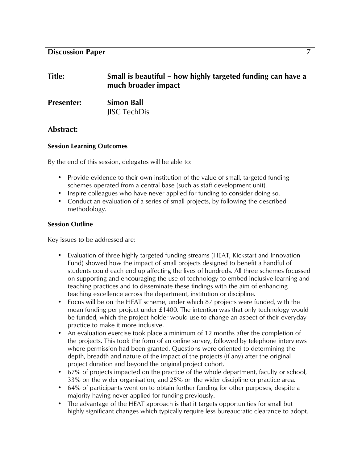## **Discussion Paper 7**

| <b>Title:</b> | Small is beautiful – how highly targeted funding can have a |
|---------------|-------------------------------------------------------------|
|               | much broader impact                                         |

| <b>Presenter:</b> | <b>Simon Ball</b>  |
|-------------------|--------------------|
|                   | <b>ISC TechDis</b> |

### **Abstract:**

#### **Session Learning Outcomes**

By the end of this session, delegates will be able to:

- Provide evidence to their own institution of the value of small, targeted funding schemes operated from a central base (such as staff development unit).
- Inspire colleagues who have never applied for funding to consider doing so.
- Conduct an evaluation of a series of small projects, by following the described methodology.

#### **Session Outline**

Key issues to be addressed are:

- Evaluation of three highly targeted funding streams (HEAT, Kickstart and Innovation Fund) showed how the impact of small projects designed to benefit a handful of students could each end up affecting the lives of hundreds. All three schemes focussed on supporting and encouraging the use of technology to embed inclusive learning and teaching practices and to disseminate these findings with the aim of enhancing teaching excellence across the department, institution or discipline.
- Focus will be on the HEAT scheme, under which 87 projects were funded, with the mean funding per project under  $£1400$ . The intention was that only technology would be funded, which the project holder would use to change an aspect of their everyday practice to make it more inclusive.
- An evaluation exercise took place a minimum of 12 months after the completion of the projects. This took the form of an online survey, followed by telephone interviews where permission had been granted. Questions were oriented to determining the depth, breadth and nature of the impact of the projects (if any) after the original project duration and beyond the original project cohort.
- 67% of projects impacted on the practice of the whole department, faculty or school, 33% on the wider organisation, and 25% on the wider discipline or practice area.
- 64% of participants went on to obtain further funding for other purposes, despite a majority having never applied for funding previously.
- The advantage of the HEAT approach is that it targets opportunities for small but highly significant changes which typically require less bureaucratic clearance to adopt.